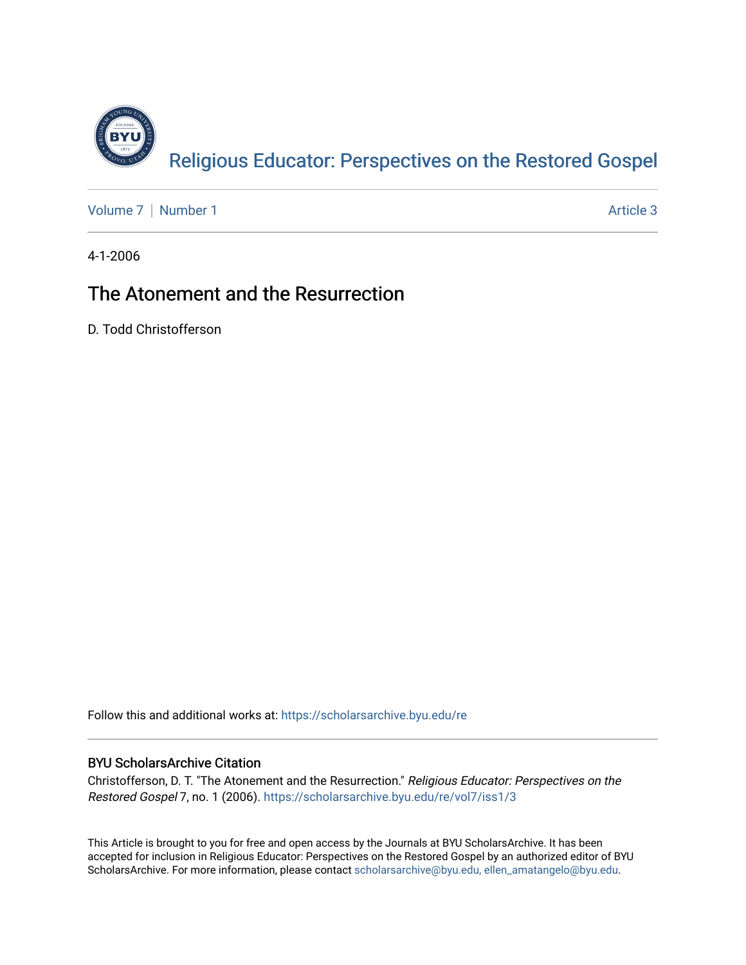

[Volume 7](https://scholarsarchive.byu.edu/re/vol7) | [Number 1](https://scholarsarchive.byu.edu/re/vol7/iss1) Article 3

4-1-2006

# The Atonement and the Resurrection

D. Todd Christofferson

Follow this and additional works at: [https://scholarsarchive.byu.edu/re](https://scholarsarchive.byu.edu/re?utm_source=scholarsarchive.byu.edu%2Fre%2Fvol7%2Fiss1%2F3&utm_medium=PDF&utm_campaign=PDFCoverPages)

# BYU ScholarsArchive Citation

Christofferson, D. T. "The Atonement and the Resurrection." Religious Educator: Perspectives on the Restored Gospel 7, no. 1 (2006). [https://scholarsarchive.byu.edu/re/vol7/iss1/3](https://scholarsarchive.byu.edu/re/vol7/iss1/3?utm_source=scholarsarchive.byu.edu%2Fre%2Fvol7%2Fiss1%2F3&utm_medium=PDF&utm_campaign=PDFCoverPages) 

This Article is brought to you for free and open access by the Journals at BYU ScholarsArchive. It has been accepted for inclusion in Religious Educator: Perspectives on the Restored Gospel by an authorized editor of BYU ScholarsArchive. For more information, please contact [scholarsarchive@byu.edu, ellen\\_amatangelo@byu.edu.](mailto:scholarsarchive@byu.edu,%20ellen_amatangelo@byu.edu)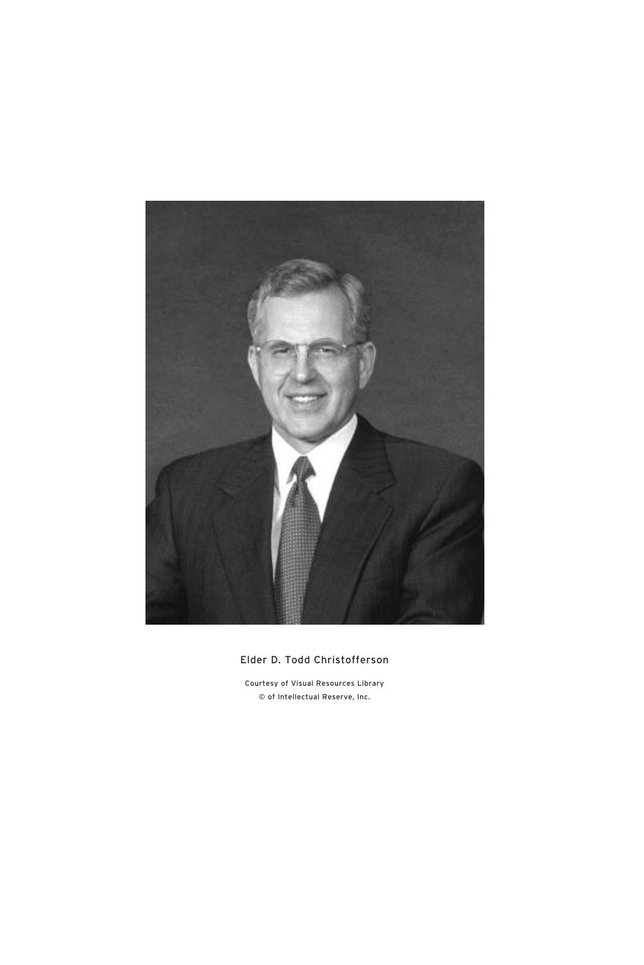

Elder D. Todd Christofferson

Courtesy of Visual Resources Library © of Intellectual Reserve, Inc.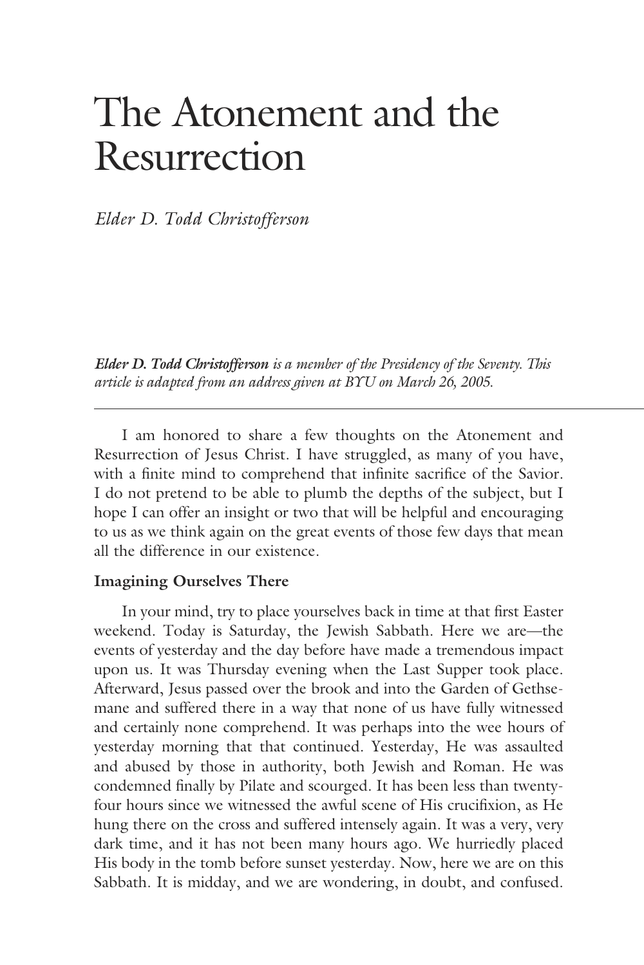# The Atonement and the Resurrection

*Elder D. Todd Christofferson*

*Elder D. Todd Christofferson is a member of the Presidency of the Seventy. This article is adapted from an address given at BYU on March 26, 2005.* 

 I am honored to share a few thoughts on the Atonement and Resurrection of Jesus Christ. I have struggled, as many of you have, with a finite mind to comprehend that infinite sacrifice of the Savior. I do not pretend to be able to plumb the depths of the subject, but I hope I can offer an insight or two that will be helpful and encouraging to us as we think again on the great events of those few days that mean all the difference in our existence.

## **Imagining Ourselves There**

 In your mind, try to place yourselves back in time at that first Easter weekend. Today is Saturday, the Jewish Sabbath. Here we are—the events of yesterday and the day before have made a tremendous impact upon us. It was Thursday evening when the Last Supper took place. Afterward, Jesus passed over the brook and into the Garden of Gethsemane and suffered there in a way that none of us have fully witnessed and certainly none comprehend. It was perhaps into the wee hours of yesterday morning that that continued. Yesterday, He was assaulted and abused by those in authority, both Jewish and Roman. He was condemned finally by Pilate and scourged. It has been less than twentyfour hours since we witnessed the awful scene of His crucifixion, as He hung there on the cross and suffered intensely again. It was a very, very dark time, and it has not been many hours ago. We hurriedly placed His body in the tomb before sunset yesterday. Now, here we are on this Sabbath. It is midday, and we are wondering, in doubt, and confused.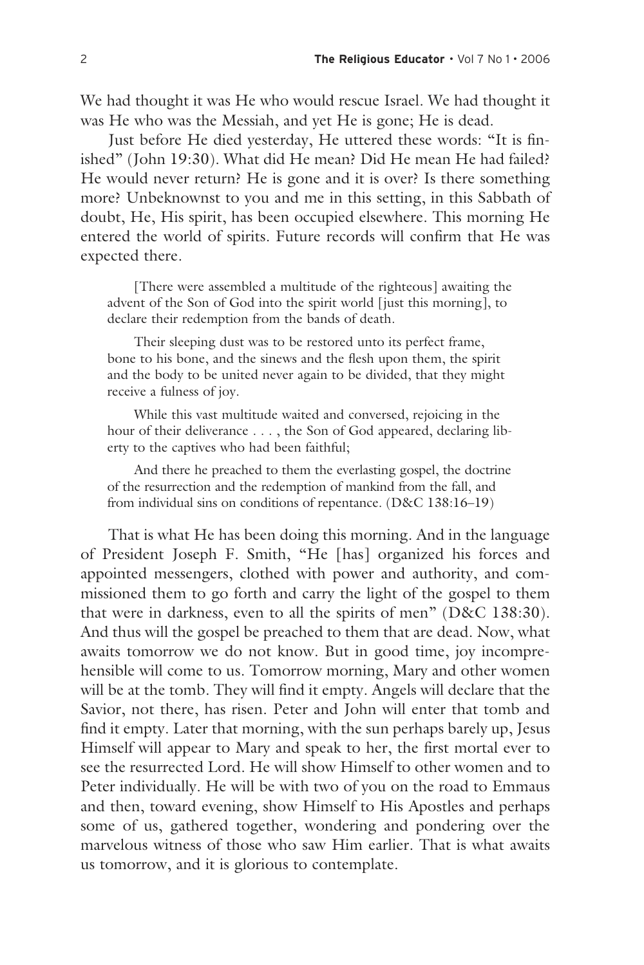We had thought it was He who would rescue Israel. We had thought it was He who was the Messiah, and yet He is gone; He is dead.

 Just before He died yesterday, He uttered these words: "It is finished" (John 19:30). What did He mean? Did He mean He had failed? He would never return? He is gone and it is over? Is there something more? Unbeknownst to you and me in this setting, in this Sabbath of doubt, He, His spirit, has been occupied elsewhere. This morning He entered the world of spirits. Future records will confirm that He was expected there.

 [There were assembled a multitude of the righteous] awaiting the advent of the Son of God into the spirit world [just this morning], to declare their redemption from the bands of death.

 Their sleeping dust was to be restored unto its perfect frame, bone to his bone, and the sinews and the flesh upon them, the spirit and the body to be united never again to be divided, that they might receive a fulness of joy.

 While this vast multitude waited and conversed, rejoicing in the hour of their deliverance . . . , the Son of God appeared, declaring liberty to the captives who had been faithful;

 And there he preached to them the everlasting gospel, the doctrine of the resurrection and the redemption of mankind from the fall, and from individual sins on conditions of repentance. (D&C 138:16–19)

 That is what He has been doing this morning. And in the language of President Joseph F. Smith, "He [has] organized his forces and appointed messengers, clothed with power and authority, and commissioned them to go forth and carry the light of the gospel to them that were in darkness, even to all the spirits of men" (D&C 138:30). And thus will the gospel be preached to them that are dead. Now, what awaits tomorrow we do not know. But in good time, joy incomprehensible will come to us. Tomorrow morning, Mary and other women will be at the tomb. They will find it empty. Angels will declare that the Savior, not there, has risen. Peter and John will enter that tomb and find it empty. Later that morning, with the sun perhaps barely up, Jesus Himself will appear to Mary and speak to her, the first mortal ever to see the resurrected Lord. He will show Himself to other women and to Peter individually. He will be with two of you on the road to Emmaus and then, toward evening, show Himself to His Apostles and perhaps some of us, gathered together, wondering and pondering over the marvelous witness of those who saw Him earlier. That is what awaits us tomorrow, and it is glorious to contemplate.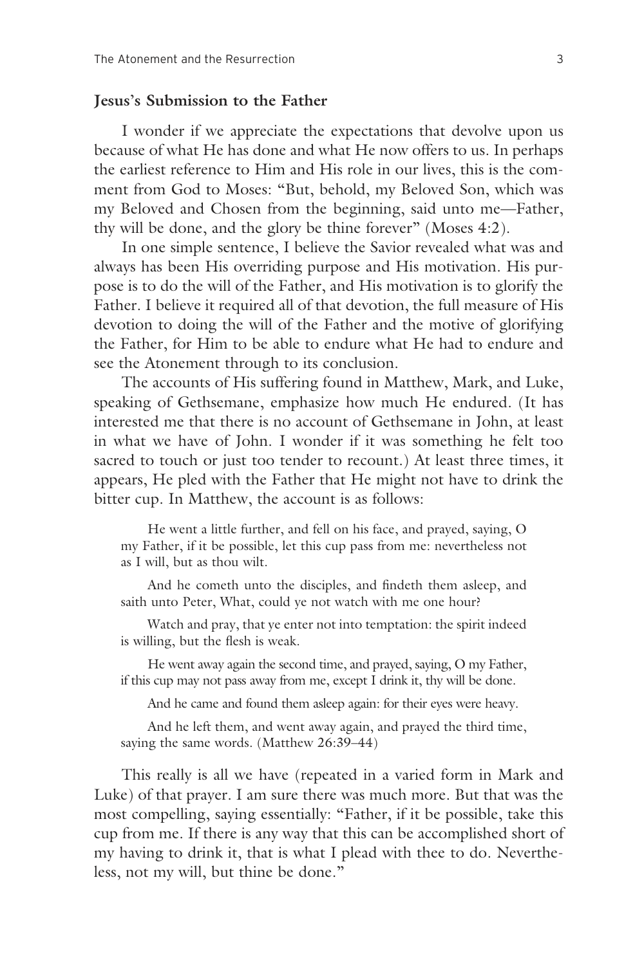#### **Jesus**'**s Submission to the Father**

 I wonder if we appreciate the expectations that devolve upon us because of what He has done and what He now offers to us. In perhaps the earliest reference to Him and His role in our lives, this is the comment from God to Moses: "But, behold, my Beloved Son, which was my Beloved and Chosen from the beginning, said unto me—Father, thy will be done, and the glory be thine forever" (Moses 4:2).

 In one simple sentence, I believe the Savior revealed what was and always has been His overriding purpose and His motivation. His purpose is to do the will of the Father, and His motivation is to glorify the Father. I believe it required all of that devotion, the full measure of His devotion to doing the will of the Father and the motive of glorifying the Father, for Him to be able to endure what He had to endure and see the Atonement through to its conclusion.

 The accounts of His suffering found in Matthew, Mark, and Luke, speaking of Gethsemane, emphasize how much He endured. (It has interested me that there is no account of Gethsemane in John, at least in what we have of John. I wonder if it was something he felt too sacred to touch or just too tender to recount.) At least three times, it appears, He pled with the Father that He might not have to drink the bitter cup. In Matthew, the account is as follows:

 He went a little further, and fell on his face, and prayed, saying, O my Father, if it be possible, let this cup pass from me: nevertheless not as I will, but as thou wilt.

 And he cometh unto the disciples, and findeth them asleep, and saith unto Peter, What, could ye not watch with me one hour?

 Watch and pray, that ye enter not into temptation: the spirit indeed is willing, but the flesh is weak.

 He went away again the second time, and prayed, saying, O my Father, if this cup may not pass away from me, except I drink it, thy will be done.

And he came and found them asleep again: for their eyes were heavy.

 And he left them, and went away again, and prayed the third time, saying the same words. (Matthew 26:39–44)

 This really is all we have (repeated in a varied form in Mark and Luke) of that prayer. I am sure there was much more. But that was the most compelling, saying essentially: "Father, if it be possible, take this cup from me. If there is any way that this can be accomplished short of my having to drink it, that is what I plead with thee to do. Nevertheless, not my will, but thine be done."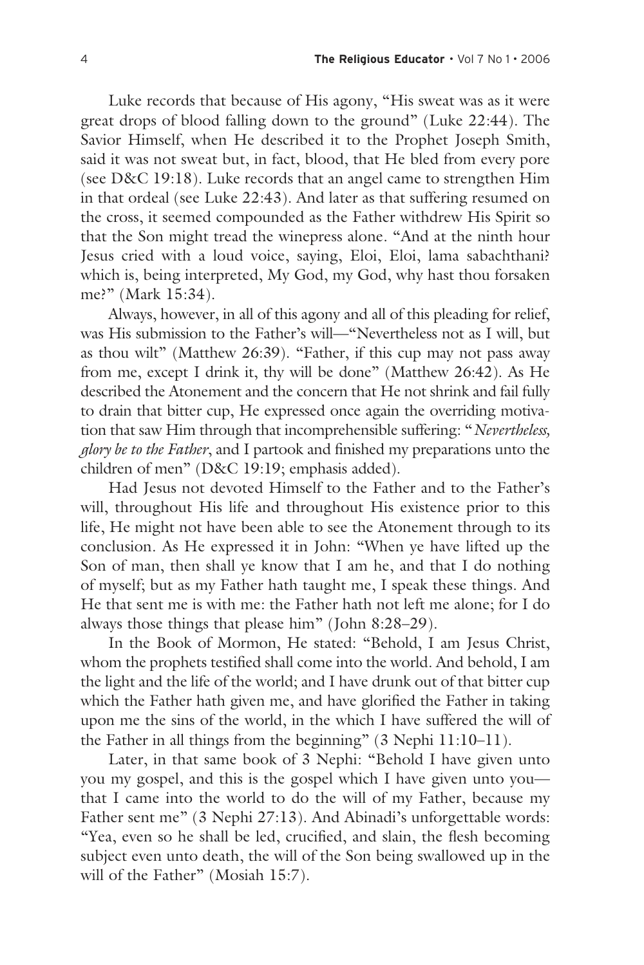Luke records that because of His agony, "His sweat was as it were great drops of blood falling down to the ground" (Luke 22:44). The Savior Himself, when He described it to the Prophet Joseph Smith, said it was not sweat but, in fact, blood, that He bled from every pore (see D&C 19:18). Luke records that an angel came to strengthen Him in that ordeal (see Luke 22:43). And later as that suffering resumed on the cross, it seemed compounded as the Father withdrew His Spirit so that the Son might tread the winepress alone. "And at the ninth hour Jesus cried with a loud voice, saying, Eloi, Eloi, lama sabachthani? which is, being interpreted, My God, my God, why hast thou forsaken me?" (Mark 15:34).

 Always, however, in all of this agony and all of this pleading for relief, was His submission to the Father's will—"Nevertheless not as I will, but as thou wilt" (Matthew 26:39). "Father, if this cup may not pass away from me, except I drink it, thy will be done" (Matthew 26:42). As He described the Atonement and the concern that He not shrink and fail fully to drain that bitter cup, He expressed once again the overriding motivation that saw Him through that incomprehensible suffering: "*Nevertheless, glory be to the Father*, and I partook and finished my preparations unto the children of men" (D&C 19:19; emphasis added).

 Had Jesus not devoted Himself to the Father and to the Father's will, throughout His life and throughout His existence prior to this life, He might not have been able to see the Atonement through to its conclusion. As He expressed it in John: "When ye have lifted up the Son of man, then shall ye know that I am he, and that I do nothing of myself; but as my Father hath taught me, I speak these things. And He that sent me is with me: the Father hath not left me alone; for I do always those things that please him" (John 8:28–29).

 In the Book of Mormon, He stated: "Behold, I am Jesus Christ, whom the prophets testified shall come into the world. And behold, I am the light and the life of the world; and I have drunk out of that bitter cup which the Father hath given me, and have glorified the Father in taking upon me the sins of the world, in the which I have suffered the will of the Father in all things from the beginning" (3 Nephi 11:10–11).

 Later, in that same book of 3 Nephi: "Behold I have given unto you my gospel, and this is the gospel which I have given unto you that I came into the world to do the will of my Father, because my Father sent me" (3 Nephi 27:13). And Abinadi's unforgettable words: "Yea, even so he shall be led, crucified, and slain, the flesh becoming subject even unto death, the will of the Son being swallowed up in the will of the Father" (Mosiah 15:7).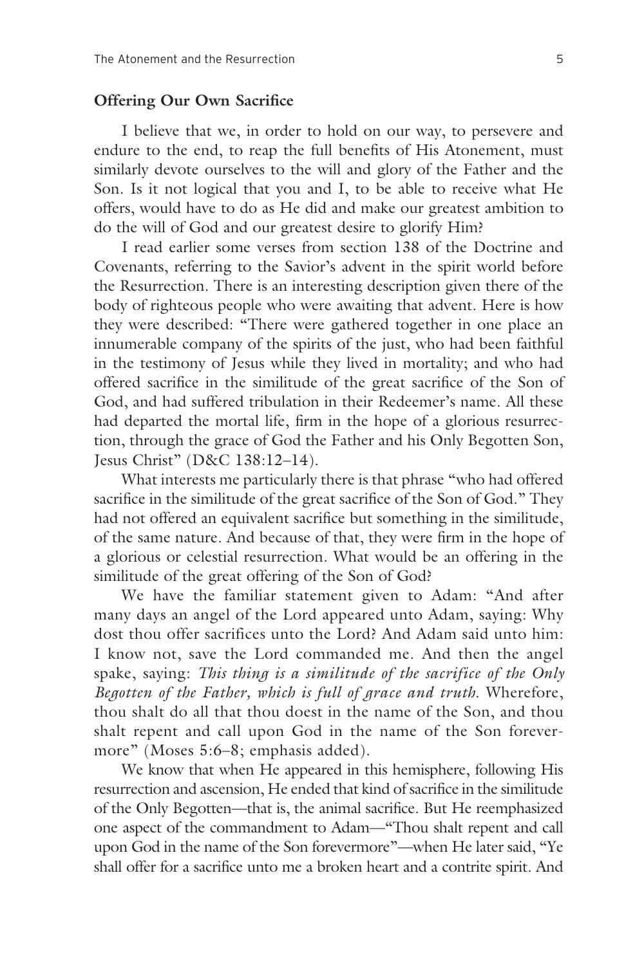# **Offering Our Own Sacrifice**

 I believe that we, in order to hold on our way, to persevere and endure to the end, to reap the full benefits of His Atonement, must similarly devote ourselves to the will and glory of the Father and the Son. Is it not logical that you and I, to be able to receive what He offers, would have to do as He did and make our greatest ambition to do the will of God and our greatest desire to glorify Him?

 I read earlier some verses from section 138 of the Doctrine and Covenants, referring to the Savior's advent in the spirit world before the Resurrection. There is an interesting description given there of the body of righteous people who were awaiting that advent. Here is how they were described: "There were gathered together in one place an innumerable company of the spirits of the just, who had been faithful in the testimony of Jesus while they lived in mortality; and who had offered sacrifice in the similitude of the great sacrifice of the Son of God, and had suffered tribulation in their Redeemer's name. All these had departed the mortal life, firm in the hope of a glorious resurrection, through the grace of God the Father and his Only Begotten Son, Jesus Christ" (D&C 138:12–14).

 What interests me particularly there is that phrase "who had offered sacrifice in the similitude of the great sacrifice of the Son of God." They had not offered an equivalent sacrifice but something in the similitude, of the same nature. And because of that, they were firm in the hope of a glorious or celestial resurrection. What would be an offering in the similitude of the great offering of the Son of God?

 We have the familiar statement given to Adam: "And after many days an angel of the Lord appeared unto Adam, saying: Why dost thou offer sacrifices unto the Lord? And Adam said unto him: I know not, save the Lord commanded me. And then the angel spake, saying: *This thing is a similitude of the sacrifice of the Only Begotten of the Father, which is full of grace and truth*. Wherefore, thou shalt do all that thou doest in the name of the Son, and thou shalt repent and call upon God in the name of the Son forevermore" (Moses 5:6-8; emphasis added).

 We know that when He appeared in this hemisphere, following His resurrection and ascension, He ended that kind of sacrifice in the similitude of the Only Begotten—that is, the animal sacrifice. But He reemphasized one aspect of the commandment to Adam—"Thou shalt repent and call upon God in the name of the Son forevermore"—when He later said, "Ye shall offer for a sacrifice unto me a broken heart and a contrite spirit. And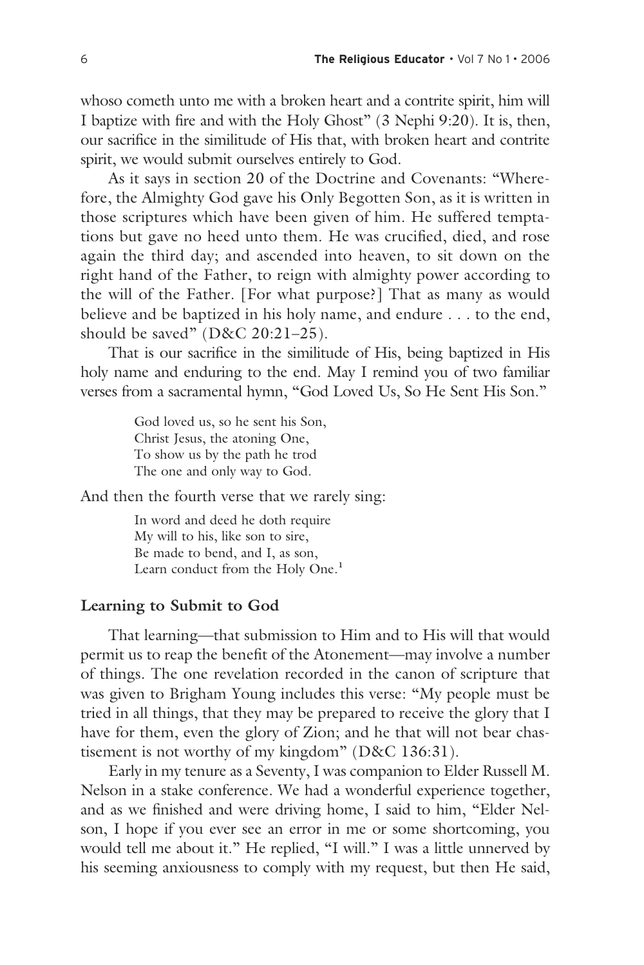whoso cometh unto me with a broken heart and a contrite spirit, him will I baptize with fire and with the Holy Ghost" (3 Nephi 9:20). It is, then, our sacrifice in the similitude of His that, with broken heart and contrite spirit, we would submit ourselves entirely to God.

 As it says in section 20 of the Doctrine and Covenants: "Wherefore, the Almighty God gave his Only Begotten Son, as it is written in those scriptures which have been given of him. He suffered temptations but gave no heed unto them. He was crucified, died, and rose again the third day; and ascended into heaven, to sit down on the right hand of the Father, to reign with almighty power according to the will of the Father. [For what purpose?] That as many as would believe and be baptized in his holy name, and endure . . . to the end, should be saved" (D&C 20:21-25).

 That is our sacrifice in the similitude of His, being baptized in His holy name and enduring to the end. May I remind you of two familiar verses from a sacramental hymn, "God Loved Us, So He Sent His Son."

> God loved us, so he sent his Son, Christ Jesus, the atoning One, To show us by the path he trod The one and only way to God.

And then the fourth verse that we rarely sing:

 In word and deed he doth require My will to his, like son to sire, Be made to bend, and I, as son, Learn conduct from the Holy One.**<sup>1</sup>**

#### **Learning to Submit to God**

 That learning—that submission to Him and to His will that would permit us to reap the benefit of the Atonement—may involve a number of things. The one revelation recorded in the canon of scripture that was given to Brigham Young includes this verse: "My people must be tried in all things, that they may be prepared to receive the glory that I have for them, even the glory of Zion; and he that will not bear chastisement is not worthy of my kingdom" (D&C 136:31).

 Early in my tenure as a Seventy, I was companion to Elder Russell M. Nelson in a stake conference. We had a wonderful experience together, and as we finished and were driving home, I said to him, "Elder Nelson, I hope if you ever see an error in me or some shortcoming, you would tell me about it." He replied, "I will." I was a little unnerved by his seeming anxiousness to comply with my request, but then He said,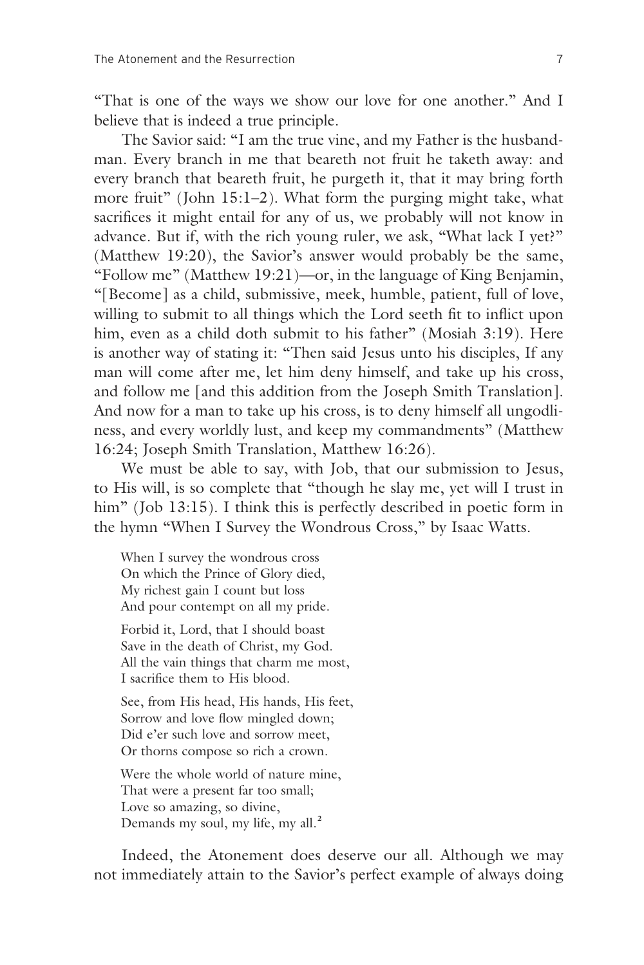"That is one of the ways we show our love for one another." And I believe that is indeed a true principle.

 The Savior said: "I am the true vine, and my Father is the husbandman. Every branch in me that beareth not fruit he taketh away: and every branch that beareth fruit, he purgeth it, that it may bring forth more fruit" (John 15:1–2). What form the purging might take, what sacrifices it might entail for any of us, we probably will not know in advance. But if, with the rich young ruler, we ask, "What lack I yet?" (Matthew 19:20), the Savior's answer would probably be the same, "Follow me" (Matthew 19:21)—or, in the language of King Benjamin, "[Become] as a child, submissive, meek, humble, patient, full of love, willing to submit to all things which the Lord seeth fit to inflict upon him, even as a child doth submit to his father" (Mosiah 3:19). Here is another way of stating it: "Then said Jesus unto his disciples, If any man will come after me, let him deny himself, and take up his cross, and follow me [and this addition from the Joseph Smith Translation]. And now for a man to take up his cross, is to deny himself all ungodliness, and every worldly lust, and keep my commandments" (Matthew 16:24; Joseph Smith Translation, Matthew 16:26).

 We must be able to say, with Job, that our submission to Jesus, to His will, is so complete that "though he slay me, yet will I trust in him" (Job 13:15). I think this is perfectly described in poetic form in the hymn "When I Survey the Wondrous Cross," by Isaac Watts.

When I survey the wondrous cross On which the Prince of Glory died, My richest gain I count but loss And pour contempt on all my pride.

Forbid it, Lord, that I should boast Save in the death of Christ, my God. All the vain things that charm me most, I sacrifice them to His blood.

See, from His head, His hands, His feet, Sorrow and love flow mingled down; Did e'er such love and sorrow meet, Or thorns compose so rich a crown.

Were the whole world of nature mine, That were a present far too small; Love so amazing, so divine, Demands my soul, my life, my all.**<sup>2</sup>**

 Indeed, the Atonement does deserve our all. Although we may not immediately attain to the Savior's perfect example of always doing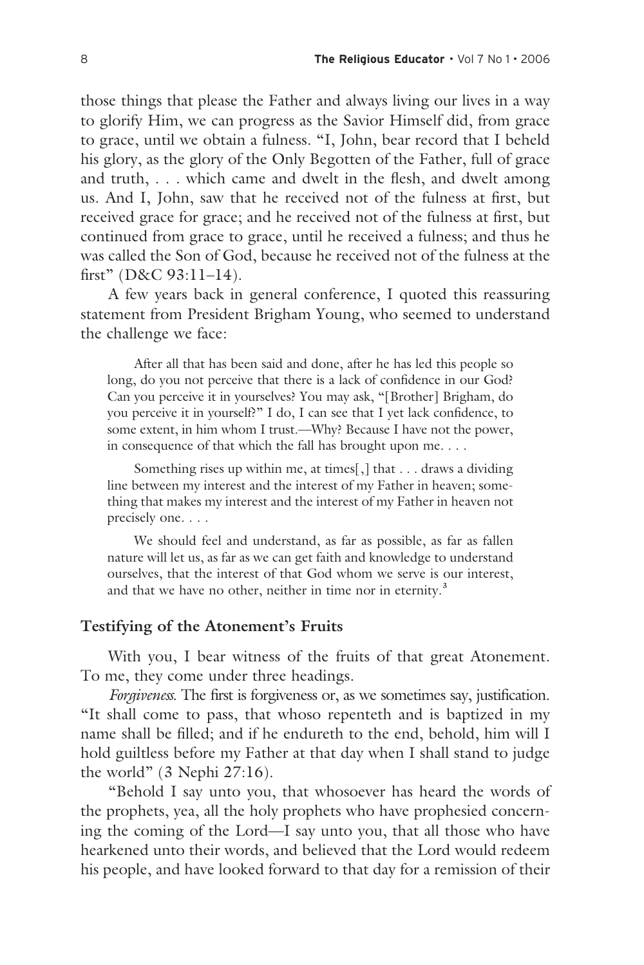those things that please the Father and always living our lives in a way to glorify Him, we can progress as the Savior Himself did, from grace to grace, until we obtain a fulness. "I, John, bear record that I beheld his glory, as the glory of the Only Begotten of the Father, full of grace and truth, . . . which came and dwelt in the flesh, and dwelt among us. And I, John, saw that he received not of the fulness at first, but received grace for grace; and he received not of the fulness at first, but continued from grace to grace, until he received a fulness; and thus he was called the Son of God, because he received not of the fulness at the first" (D&C 93:11–14).

 A few years back in general conference, I quoted this reassuring statement from President Brigham Young, who seemed to understand the challenge we face:

 After all that has been said and done, after he has led this people so long, do you not perceive that there is a lack of confidence in our God? Can you perceive it in yourselves? You may ask, "[Brother] Brigham, do you perceive it in yourself?" I do, I can see that I yet lack confidence, to some extent, in him whom I trust.—Why? Because I have not the power, in consequence of that which the fall has brought upon me. . . .

 Something rises up within me, at times[,] that . . . draws a dividing line between my interest and the interest of my Father in heaven; something that makes my interest and the interest of my Father in heaven not precisely one. . . .

 We should feel and understand, as far as possible, as far as fallen nature will let us, as far as we can get faith and knowledge to understand ourselves, that the interest of that God whom we serve is our interest, and that we have no other, neither in time nor in eternity.**<sup>3</sup>**

### **Testifying of the Atonement's Fruits**

 With you, I bear witness of the fruits of that great Atonement. To me, they come under three headings.

*Forgiveness*. The first is forgiveness or, as we sometimes say, justification. "It shall come to pass, that whoso repenteth and is baptized in my name shall be filled; and if he endureth to the end, behold, him will I hold guiltless before my Father at that day when I shall stand to judge the world" (3 Nephi 27:16).

 "Behold I say unto you, that whosoever has heard the words of the prophets, yea, all the holy prophets who have prophesied concerning the coming of the Lord—I say unto you, that all those who have hearkened unto their words, and believed that the Lord would redeem his people, and have looked forward to that day for a remission of their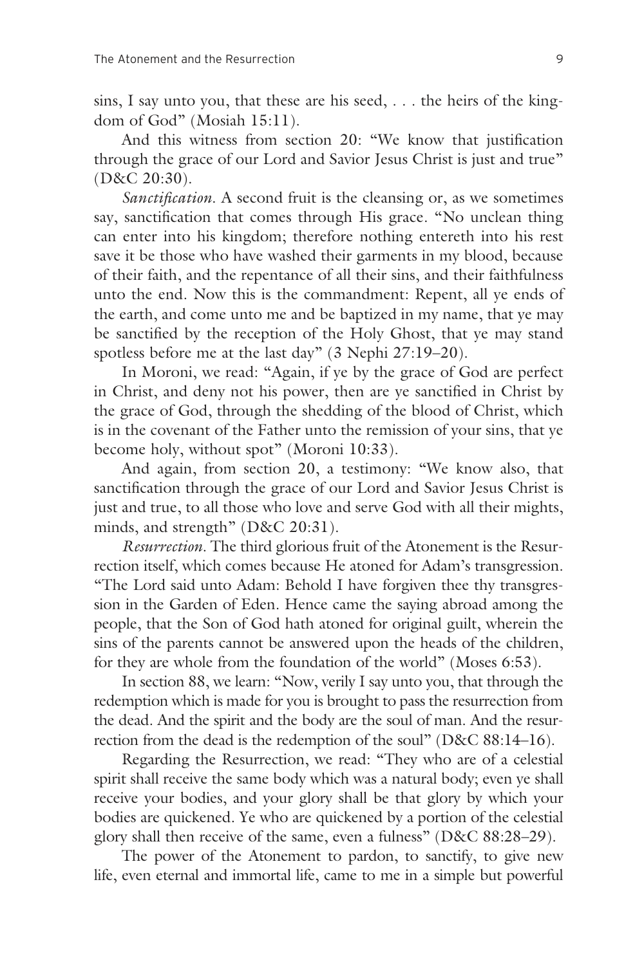sins, I say unto you, that these are his seed, . . . the heirs of the kingdom of God" (Mosiah 15:11).

 And this witness from section 20: "We know that justification through the grace of our Lord and Savior Jesus Christ is just and true" (D&C 20:30).

*Sanctification*. A second fruit is the cleansing or, as we sometimes say, sanctification that comes through His grace. "No unclean thing can enter into his kingdom; therefore nothing entereth into his rest save it be those who have washed their garments in my blood, because of their faith, and the repentance of all their sins, and their faithfulness unto the end. Now this is the commandment: Repent, all ye ends of the earth, and come unto me and be baptized in my name, that ye may be sanctified by the reception of the Holy Ghost, that ye may stand spotless before me at the last day" (3 Nephi 27:19–20).

 In Moroni, we read: "Again, if ye by the grace of God are perfect in Christ, and deny not his power, then are ye sanctified in Christ by the grace of God, through the shedding of the blood of Christ, which is in the covenant of the Father unto the remission of your sins, that ye become holy, without spot" (Moroni 10:33).

 And again, from section 20, a testimony: "We know also, that sanctification through the grace of our Lord and Savior Jesus Christ is just and true, to all those who love and serve God with all their mights, minds, and strength" (D&C 20:31).

*Resurrection*. The third glorious fruit of the Atonement is the Resurrection itself, which comes because He atoned for Adam's transgression. "The Lord said unto Adam: Behold I have forgiven thee thy transgression in the Garden of Eden. Hence came the saying abroad among the people, that the Son of God hath atoned for original guilt, wherein the sins of the parents cannot be answered upon the heads of the children, for they are whole from the foundation of the world" (Moses 6:53).

 In section 88, we learn: "Now, verily I say unto you, that through the redemption which is made for you is brought to pass the resurrection from the dead. And the spirit and the body are the soul of man. And the resurrection from the dead is the redemption of the soul" (D&C 88:14–16).

 Regarding the Resurrection, we read: "They who are of a celestial spirit shall receive the same body which was a natural body; even ye shall receive your bodies, and your glory shall be that glory by which your bodies are quickened. Ye who are quickened by a portion of the celestial glory shall then receive of the same, even a fulness" (D&C 88:28–29).

The power of the Atonement to pardon, to sanctify, to give new life, even eternal and immortal life, came to me in a simple but powerful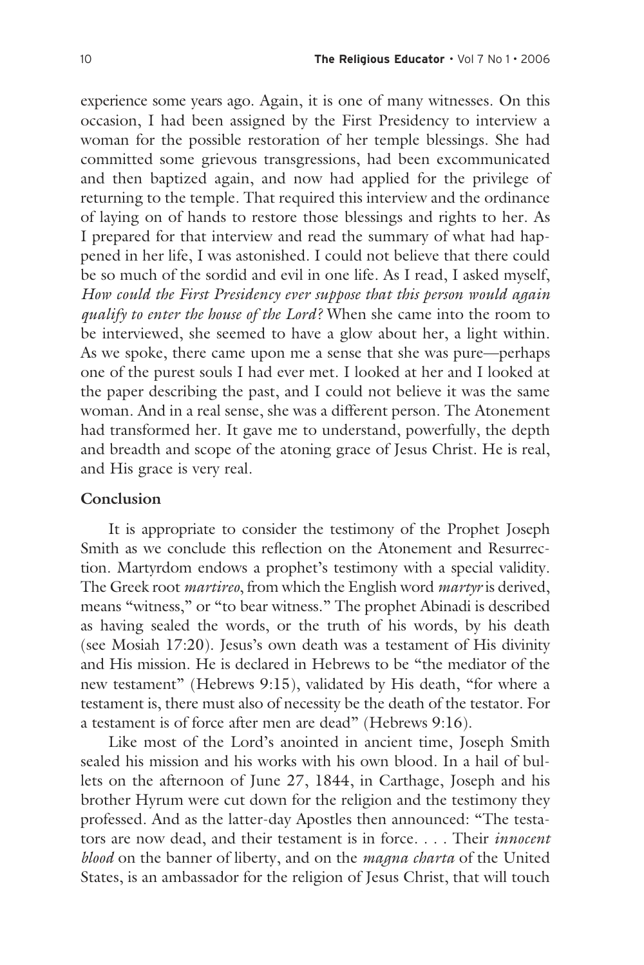experience some years ago. Again, it is one of many witnesses. On this occasion, I had been assigned by the First Presidency to interview a woman for the possible restoration of her temple blessings. She had committed some grievous transgressions, had been excommunicated and then baptized again, and now had applied for the privilege of returning to the temple. That required this interview and the ordinance of laying on of hands to restore those blessings and rights to her. As I prepared for that interview and read the summary of what had happened in her life, I was astonished. I could not believe that there could be so much of the sordid and evil in one life. As I read, I asked myself, *How could the First Presidency ever suppose that this person would again qualify to enter the house of the Lord?* When she came into the room to be interviewed, she seemed to have a glow about her, a light within. As we spoke, there came upon me a sense that she was pure—perhaps one of the purest souls I had ever met. I looked at her and I looked at the paper describing the past, and I could not believe it was the same woman. And in a real sense, she was a different person. The Atonement had transformed her. It gave me to understand, powerfully, the depth and breadth and scope of the atoning grace of Jesus Christ. He is real, and His grace is very real.

### **Conclusion**

 It is appropriate to consider the testimony of the Prophet Joseph Smith as we conclude this reflection on the Atonement and Resurrection. Martyrdom endows a prophet's testimony with a special validity. The Greek root *martireo*, from which the English word *martyr* is derived, means "witness," or "to bear witness." The prophet Abinadi is described as having sealed the words, or the truth of his words, by his death (see Mosiah 17:20). Jesus's own death was a testament of His divinity and His mission. He is declared in Hebrews to be "the mediator of the new testament" (Hebrews 9:15), validated by His death, "for where a testament is, there must also of necessity be the death of the testator. For a testament is of force after men are dead" (Hebrews 9:16).

 Like most of the Lord's anointed in ancient time, Joseph Smith sealed his mission and his works with his own blood. In a hail of bullets on the afternoon of June 27, 1844, in Carthage, Joseph and his brother Hyrum were cut down for the religion and the testimony they professed. And as the latter-day Apostles then announced: "The testators are now dead, and their testament is in force. . . . Their *innocent blood* on the banner of liberty, and on the *magna charta* of the United States, is an ambassador for the religion of Jesus Christ, that will touch